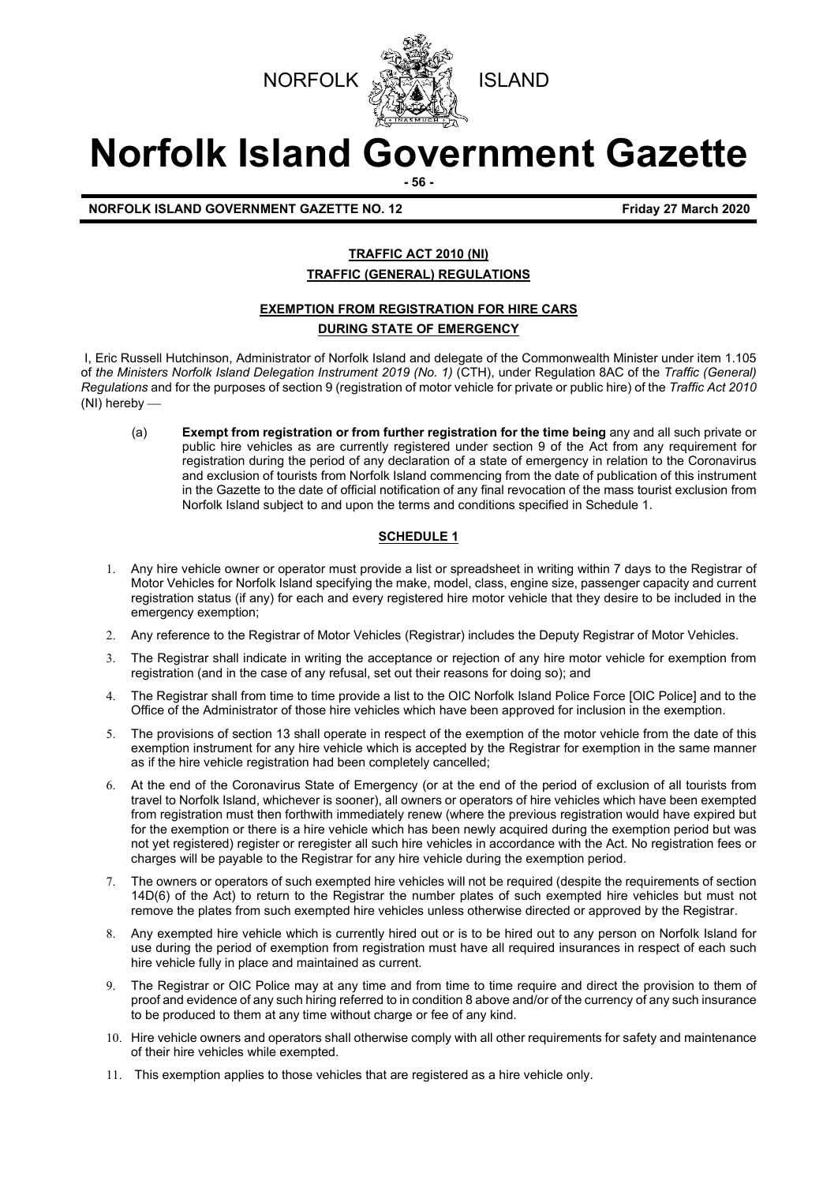



# **Norfolk Island Government Gazette**

**- 56 -**

**NORFOLK ISLAND GOVERNMENT GAZETTE NO. 12 Friday 27 March 2020**

#### **TRAFFIC ACT 2010 (NI) TRAFFIC (GENERAL) REGULATIONS**

#### **EXEMPTION FROM REGISTRATION FOR HIRE CARS**

#### **DURING STATE OF EMERGENCY**

I, Eric Russell Hutchinson, Administrator of Norfolk Island and delegate of the Commonwealth Minister under item 1.105 of *the Ministers Norfolk Island Delegation Instrument 2019 (No. 1)* (CTH), under Regulation 8AC of the *Traffic (General) Regulations* and for the purposes of section 9 (registration of motor vehicle for private or public hire) of the *Traffic Act 2010* (NI) hereby

(a) **Exempt from registration or from further registration for the time being** any and all such private or public hire vehicles as are currently registered under section 9 of the Act from any requirement for registration during the period of any declaration of a state of emergency in relation to the Coronavirus and exclusion of tourists from Norfolk Island commencing from the date of publication of this instrument in the Gazette to the date of official notification of any final revocation of the mass tourist exclusion from Norfolk Island subject to and upon the terms and conditions specified in Schedule 1.

#### **SCHEDULE 1**

- 1. Any hire vehicle owner or operator must provide a list or spreadsheet in writing within 7 days to the Registrar of Motor Vehicles for Norfolk Island specifying the make, model, class, engine size, passenger capacity and current registration status (if any) for each and every registered hire motor vehicle that they desire to be included in the emergency exemption;
- 2. Any reference to the Registrar of Motor Vehicles (Registrar) includes the Deputy Registrar of Motor Vehicles.
- 3. The Registrar shall indicate in writing the acceptance or rejection of any hire motor vehicle for exemption from registration (and in the case of any refusal, set out their reasons for doing so); and
- 4. The Registrar shall from time to time provide a list to the OIC Norfolk Island Police Force [OIC Police] and to the Office of the Administrator of those hire vehicles which have been approved for inclusion in the exemption.
- 5. The provisions of section 13 shall operate in respect of the exemption of the motor vehicle from the date of this exemption instrument for any hire vehicle which is accepted by the Registrar for exemption in the same manner as if the hire vehicle registration had been completely cancelled;
- 6. At the end of the Coronavirus State of Emergency (or at the end of the period of exclusion of all tourists from travel to Norfolk Island, whichever is sooner), all owners or operators of hire vehicles which have been exempted from registration must then forthwith immediately renew (where the previous registration would have expired but for the exemption or there is a hire vehicle which has been newly acquired during the exemption period but was not yet registered) register or reregister all such hire vehicles in accordance with the Act. No registration fees or charges will be payable to the Registrar for any hire vehicle during the exemption period.
- 7. The owners or operators of such exempted hire vehicles will not be required (despite the requirements of section 14D(6) of the Act) to return to the Registrar the number plates of such exempted hire vehicles but must not remove the plates from such exempted hire vehicles unless otherwise directed or approved by the Registrar.
- 8. Any exempted hire vehicle which is currently hired out or is to be hired out to any person on Norfolk Island for use during the period of exemption from registration must have all required insurances in respect of each such hire vehicle fully in place and maintained as current.
- 9. The Registrar or OIC Police may at any time and from time to time require and direct the provision to them of proof and evidence of any such hiring referred to in condition 8 above and/or of the currency of any such insurance to be produced to them at any time without charge or fee of any kind.
- 10. Hire vehicle owners and operators shall otherwise comply with all other requirements for safety and maintenance of their hire vehicles while exempted.
- 11. This exemption applies to those vehicles that are registered as a hire vehicle only.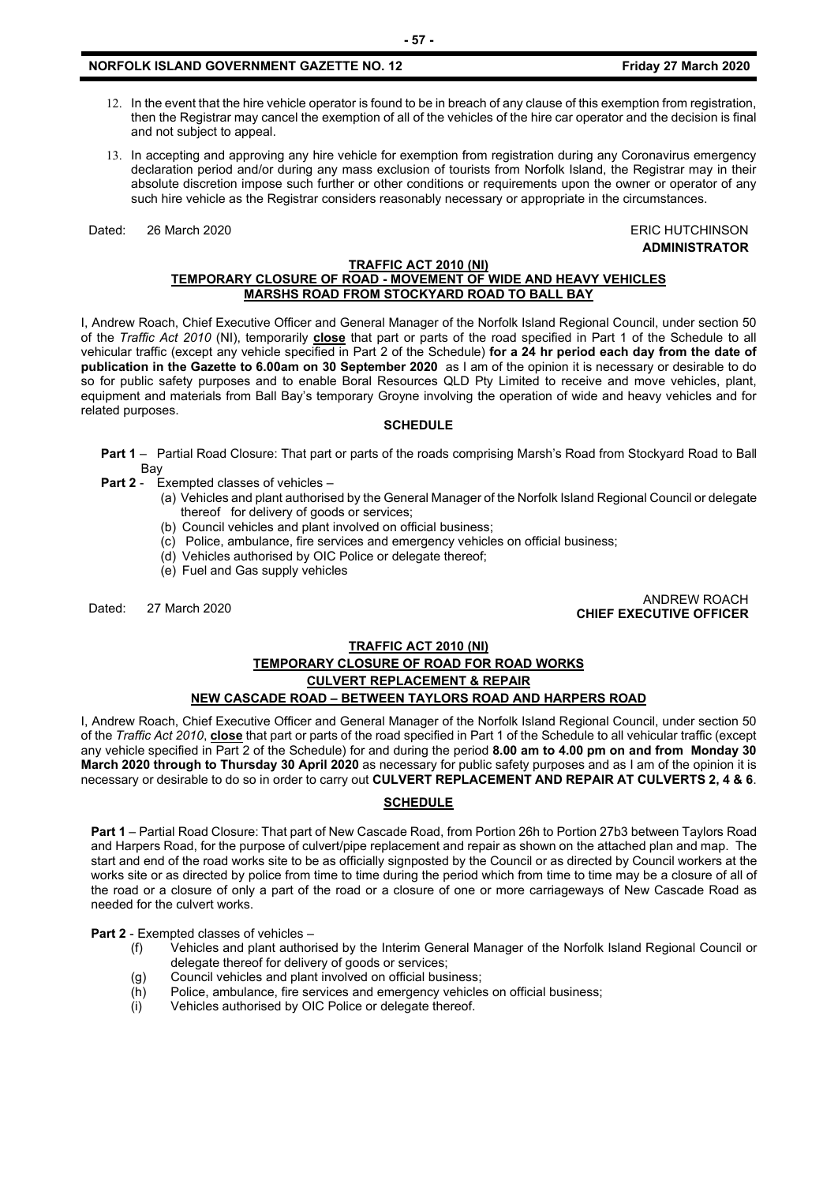#### **NORFOLK ISLAND GOVERNMENT GAZETTE NO. 12 Friday 27 March 2020**

- 12. In the event that the hire vehicle operator is found to be in breach of any clause of this exemption from registration, then the Registrar may cancel the exemption of all of the vehicles of the hire car operator and the decision is final and not subject to appeal.
- 13. In accepting and approving any hire vehicle for exemption from registration during any Coronavirus emergency declaration period and/or during any mass exclusion of tourists from Norfolk Island, the Registrar may in their absolute discretion impose such further or other conditions or requirements upon the owner or operator of any such hire vehicle as the Registrar considers reasonably necessary or appropriate in the circumstances.

Dated: 26 March 2020 ERIC HUTCHINSON

**ADMINISTRATOR**

#### **TRAFFIC ACT 2010 (NI) TEMPORARY CLOSURE OF ROAD - MOVEMENT OF WIDE AND HEAVY VEHICLES MARSHS ROAD FROM STOCKYARD ROAD TO BALL BAY**

I, Andrew Roach, Chief Executive Officer and General Manager of the Norfolk Island Regional Council, under section 50 of the *Traffic Act 2010* (NI), temporarily **close** that part or parts of the road specified in Part 1 of the Schedule to all vehicular traffic (except any vehicle specified in Part 2 of the Schedule) **for a 24 hr period each day from the date of publication in the Gazette to 6.00am on 30 September 2020** as I am of the opinion it is necessary or desirable to do so for public safety purposes and to enable Boral Resources QLD Pty Limited to receive and move vehicles, plant, equipment and materials from Ball Bay's temporary Groyne involving the operation of wide and heavy vehicles and for related purposes.

#### **SCHEDULE**

- **Part 1** Partial Road Closure: That part or parts of the roads comprising Marsh's Road from Stockyard Road to Ball Bay
- **Part 2** Exempted classes of vehicles
	- (a) Vehicles and plant authorised by the General Manager of the Norfolk Island Regional Council or delegate thereof for delivery of goods or services;
		- (b) Council vehicles and plant involved on official business;
		- (c) Police, ambulance, fire services and emergency vehicles on official business;
		- (d) Vehicles authorised by OIC Police or delegate thereof;
		- (e) Fuel and Gas supply vehicles

Dated: 27 March 2020 ANDREW ROACH **CHIEF EXECUTIVE OFFICER**

#### **TRAFFIC ACT 2010 (NI)**

### **TEMPORARY CLOSURE OF ROAD FOR ROAD WORKS CULVERT REPLACEMENT & REPAIR**

**NEW CASCADE ROAD – BETWEEN TAYLORS ROAD AND HARPERS ROAD** 

I, Andrew Roach, Chief Executive Officer and General Manager of the Norfolk Island Regional Council, under section 50 of the *Traffic Act 2010*, **close** that part or parts of the road specified in Part 1 of the Schedule to all vehicular traffic (except any vehicle specified in Part 2 of the Schedule) for and during the period **8.00 am to 4.00 pm on and from Monday 30 March 2020 through to Thursday 30 April 2020** as necessary for public safety purposes and as I am of the opinion it is necessary or desirable to do so in order to carry out **CULVERT REPLACEMENT AND REPAIR AT CULVERTS 2, 4 & 6**.

#### **SCHEDULE**

**Part 1** – Partial Road Closure: That part of New Cascade Road, from Portion 26h to Portion 27b3 between Taylors Road and Harpers Road, for the purpose of culvert/pipe replacement and repair as shown on the attached plan and map. The start and end of the road works site to be as officially signposted by the Council or as directed by Council workers at the works site or as directed by police from time to time during the period which from time to time may be a closure of all of the road or a closure of only a part of the road or a closure of one or more carriageways of New Cascade Road as needed for the culvert works.

**Part 2** - Exempted classes of vehicles –

- (f) Vehicles and plant authorised by the Interim General Manager of the Norfolk Island Regional Council or delegate thereof for delivery of goods or services;
- (g) Council vehicles and plant involved on official business;
- (h) Police, ambulance, fire services and emergency vehicles on official business;
- (i) Vehicles authorised by OIC Police or delegate thereof.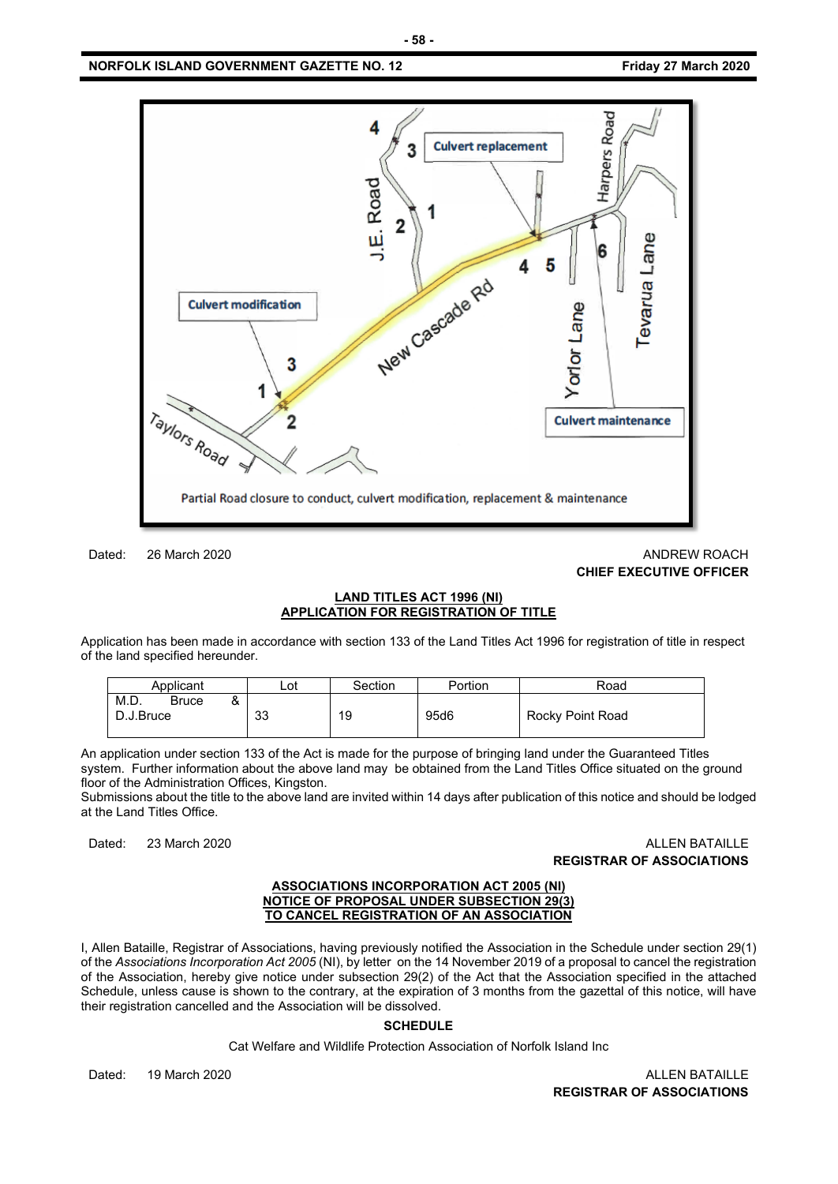#### **NORFOLK ISLAND GOVERNMENT GAZETTE NO. 12 Friday 27 March 2020**



Dated: 26 March 2020 **ANDREW ROACH** 2020

# **CHIEF EXECUTIVE OFFICER**

#### **LAND TITLES ACT 1996 (NI) APPLICATION FOR REGISTRATION OF TITLE**

Application has been made in accordance with section 133 of the Land Titles Act 1996 for registration of title in respect of the land specified hereunder.

| Applicant                                   | Lot | Section | Portion | Road             |  |
|---------------------------------------------|-----|---------|---------|------------------|--|
| M.D.<br>ο<br><b>Bruce</b><br>α<br>D.J.Bruce | 33  | 19      | 95d6    | Rocky Point Road |  |

An application under section 133 of the Act is made for the purpose of bringing land under the Guaranteed Titles system. Further information about the above land may be obtained from the Land Titles Office situated on the ground floor of the Administration Offices, Kingston.

Submissions about the title to the above land are invited within 14 days after publication of this notice and should be lodged at the Land Titles Office.

#### Dated: 23 March 2020 **ALLEN BATAILLE REGISTRAR OF ASSOCIATIONS**

#### **ASSOCIATIONS INCORPORATION ACT 2005 (NI) NOTICE OF PROPOSAL UNDER SUBSECTION 29(3) TO CANCEL REGISTRATION OF AN ASSOCIATION**

I, Allen Bataille, Registrar of Associations, having previously notified the Association in the Schedule under section 29(1) of the *Associations Incorporation Act 2005* (NI), by letter on the 14 November 2019 of a proposal to cancel the registration of the Association, hereby give notice under subsection 29(2) of the Act that the Association specified in the attached Schedule, unless cause is shown to the contrary, at the expiration of 3 months from the gazettal of this notice, will have their registration cancelled and the Association will be dissolved.

#### **SCHEDULE**

Cat Welfare and Wildlife Protection Association of Norfolk Island Inc

Dated: 19 March 2020 **ALLEN BATAILLE** 

**REGISTRAR OF ASSOCIATIONS**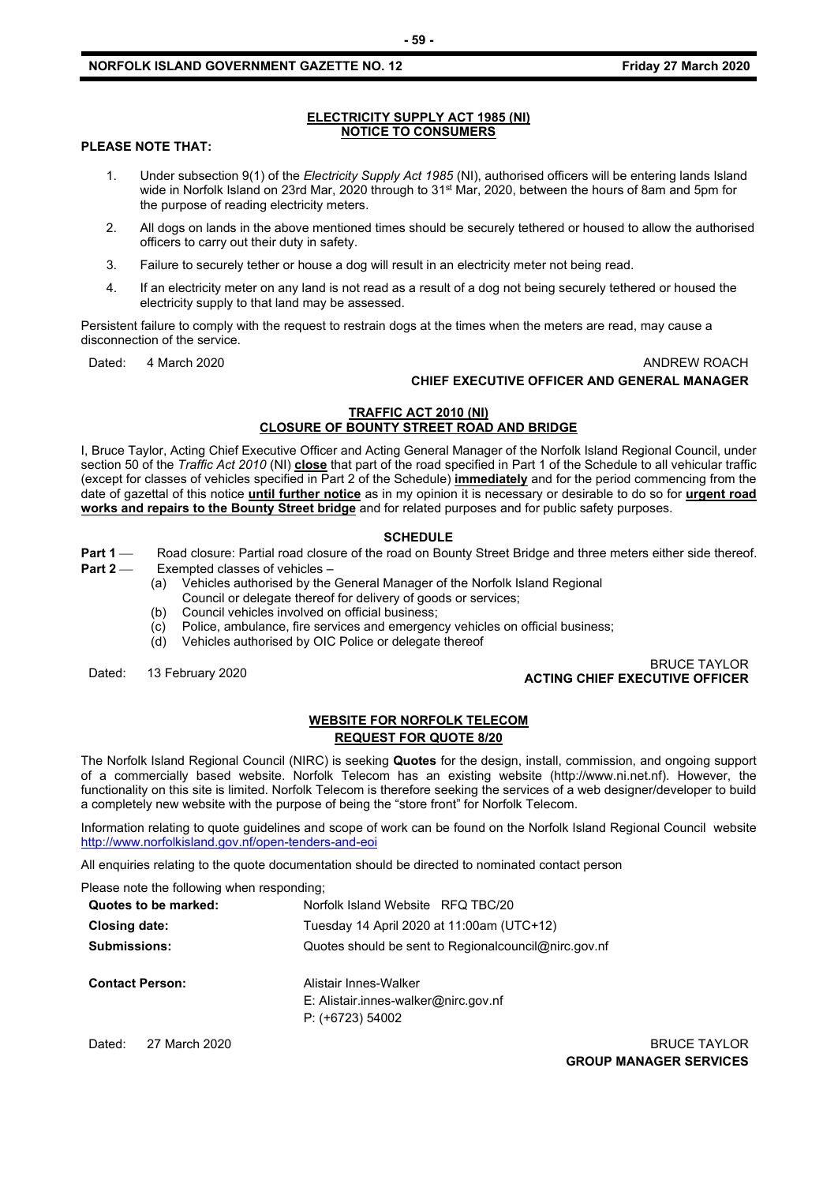#### **NORFOLK ISLAND GOVERNMENT GAZETTE NO. 12 Friday 27 March 2020**

#### **ELECTRICITY SUPPLY ACT 1985 (NI) NOTICE TO CONSUMERS**

#### **PLEASE NOTE THAT:**

- 1. Under subsection 9(1) of the *Electricity Supply Act 1985* (NI), authorised officers will be entering lands Island wide in Norfolk Island on 23rd Mar, 2020 through to 31<sup>st</sup> Mar, 2020, between the hours of 8am and 5pm for the purpose of reading electricity meters.
- 2. All dogs on lands in the above mentioned times should be securely tethered or housed to allow the authorised officers to carry out their duty in safety.
- 3. Failure to securely tether or house a dog will result in an electricity meter not being read.
- 4. If an electricity meter on any land is not read as a result of a dog not being securely tethered or housed the electricity supply to that land may be assessed.

Persistent failure to comply with the request to restrain dogs at the times when the meters are read, may cause a disconnection of the service.

#### Dated: 4 March 2020 **ANDREW ROACH CHIEF EXECUTIVE OFFICER AND GENERAL MANAGER**

#### **TRAFFIC ACT 2010 (NI) CLOSURE OF BOUNTY STREET ROAD AND BRIDGE**

I, Bruce Taylor, Acting Chief Executive Officer and Acting General Manager of the Norfolk Island Regional Council, under section 50 of the *Traffic Act 2010* (NI) **close** that part of the road specified in Part 1 of the Schedule to all vehicular traffic (except for classes of vehicles specified in Part 2 of the Schedule) **immediately** and for the period commencing from the date of gazettal of this notice **until further notice** as in my opinion it is necessary or desirable to do so for **urgent road works and repairs to the Bounty Street bridge** and for related purposes and for public safety purposes.

#### **SCHEDULE**

**Part 1** Road closure: Partial road closure of the road on Bounty Street Bridge and three meters either side thereof.

- **Part 2** Exempted classes of vehicles
	- (a) Vehicles authorised by the General Manager of the Norfolk Island Regional Council or delegate thereof for delivery of goods or services;
		- (b) Council vehicles involved on official business;
		- (c) Police, ambulance, fire services and emergency vehicles on official business;
		- (d) Vehicles authorised by OIC Police or delegate thereof

# Dated: 13 February 2020 BRUCE TAYLOR **ACTING CHIEF EXECUTIVE OFFICER**

#### **WEBSITE FOR NORFOLK TELECOM REQUEST FOR QUOTE 8/20**

The Norfolk Island Regional Council (NIRC) is seeking **Quotes** for the design, install, commission, and ongoing support of a commercially based website. Norfolk Telecom has an existing website (http://www.ni.net.nf). However, the functionality on this site is limited. Norfolk Telecom is therefore seeking the services of a web designer/developer to build a completely new website with the purpose of being the "store front" for Norfolk Telecom.

Information relating to quote guidelines and scope of work can be found on the Norfolk Island Regional Council website <http://www.norfolkisland.gov.nf/open-tenders-and-eoi>

All enquiries relating to the quote documentation should be directed to nominated contact person

Please note the following when responding;

| Quotes to be marked:   | Norfolk Island Website RFQ TBC/20                                                   |  |  |  |  |
|------------------------|-------------------------------------------------------------------------------------|--|--|--|--|
| Closing date:          | Tuesday 14 April 2020 at 11:00am (UTC+12)                                           |  |  |  |  |
| <b>Submissions:</b>    | Quotes should be sent to Regional council @nirc.gov.nf                              |  |  |  |  |
| <b>Contact Person:</b> | Alistair Innes-Walker<br>E: Alistair.innes-walker@nirc.gov.nf<br>$P: (+6723) 54002$ |  |  |  |  |